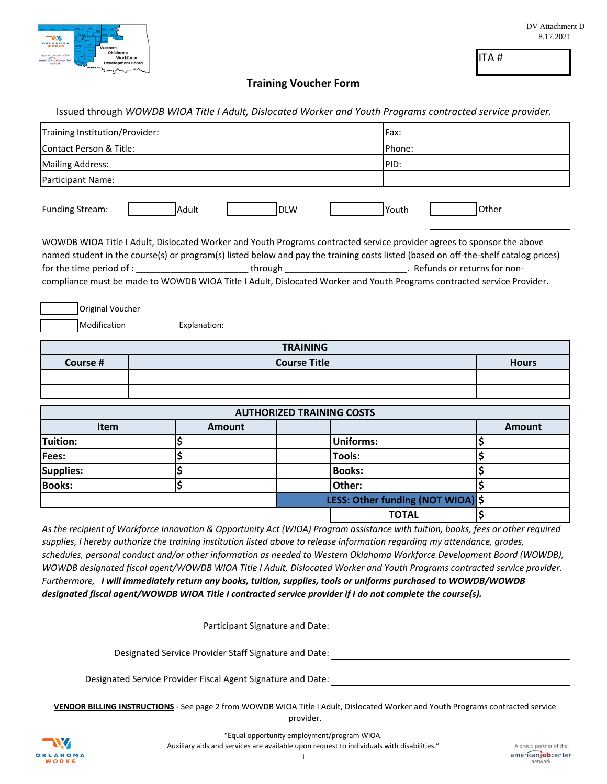

ITA #

## **Training Voucher Form**

|                                                                                                                                                                                                                                                                                                                                                                                                  | Issued through WOWDB WIOA Title I Adult, Dislocated Worker and Youth Programs contracted service provider.<br>Training Institution/Provider: |                     |                                  |                                   |              |  | Fax:                                                                                                                                                                                                                                                                                                                                                                                     |  |  |
|--------------------------------------------------------------------------------------------------------------------------------------------------------------------------------------------------------------------------------------------------------------------------------------------------------------------------------------------------------------------------------------------------|----------------------------------------------------------------------------------------------------------------------------------------------|---------------------|----------------------------------|-----------------------------------|--------------|--|------------------------------------------------------------------------------------------------------------------------------------------------------------------------------------------------------------------------------------------------------------------------------------------------------------------------------------------------------------------------------------------|--|--|
| Contact Person & Title:                                                                                                                                                                                                                                                                                                                                                                          |                                                                                                                                              |                     |                                  |                                   | Phone:       |  |                                                                                                                                                                                                                                                                                                                                                                                          |  |  |
| <b>Mailing Address:</b>                                                                                                                                                                                                                                                                                                                                                                          |                                                                                                                                              |                     |                                  |                                   | PID:         |  |                                                                                                                                                                                                                                                                                                                                                                                          |  |  |
| Participant Name:                                                                                                                                                                                                                                                                                                                                                                                |                                                                                                                                              |                     |                                  |                                   |              |  |                                                                                                                                                                                                                                                                                                                                                                                          |  |  |
|                                                                                                                                                                                                                                                                                                                                                                                                  |                                                                                                                                              |                     |                                  |                                   |              |  |                                                                                                                                                                                                                                                                                                                                                                                          |  |  |
| <b>Funding Stream:</b>                                                                                                                                                                                                                                                                                                                                                                           |                                                                                                                                              | Adult               | <b>DLW</b>                       |                                   | Youth        |  | Other                                                                                                                                                                                                                                                                                                                                                                                    |  |  |
| WOWDB WIOA Title I Adult, Dislocated Worker and Youth Programs contracted service provider agrees to sponsor the above<br>for the time period of : _______________________________through ______________________________. Refunds or returns for non-<br>compliance must be made to WOWDB WIOA Title I Adult, Dislocated Worker and Youth Programs contracted service Provider.                  |                                                                                                                                              |                     |                                  |                                   |              |  | named student in the course(s) or program(s) listed below and pay the training costs listed (based on off-the-shelf catalog prices)                                                                                                                                                                                                                                                      |  |  |
| Original Voucher<br>Modification                                                                                                                                                                                                                                                                                                                                                                 |                                                                                                                                              | Explanation:        |                                  |                                   |              |  |                                                                                                                                                                                                                                                                                                                                                                                          |  |  |
|                                                                                                                                                                                                                                                                                                                                                                                                  |                                                                                                                                              |                     | <b>TRAINING</b>                  |                                   |              |  |                                                                                                                                                                                                                                                                                                                                                                                          |  |  |
| Course #                                                                                                                                                                                                                                                                                                                                                                                         |                                                                                                                                              | <b>Course Title</b> |                                  |                                   |              |  | <b>Hours</b>                                                                                                                                                                                                                                                                                                                                                                             |  |  |
|                                                                                                                                                                                                                                                                                                                                                                                                  |                                                                                                                                              |                     |                                  |                                   |              |  |                                                                                                                                                                                                                                                                                                                                                                                          |  |  |
|                                                                                                                                                                                                                                                                                                                                                                                                  |                                                                                                                                              |                     |                                  |                                   |              |  |                                                                                                                                                                                                                                                                                                                                                                                          |  |  |
|                                                                                                                                                                                                                                                                                                                                                                                                  |                                                                                                                                              |                     | <b>AUTHORIZED TRAINING COSTS</b> |                                   |              |  |                                                                                                                                                                                                                                                                                                                                                                                          |  |  |
| Item                                                                                                                                                                                                                                                                                                                                                                                             |                                                                                                                                              | <b>Amount</b>       |                                  |                                   |              |  | <b>Amount</b>                                                                                                                                                                                                                                                                                                                                                                            |  |  |
| Tuition:                                                                                                                                                                                                                                                                                                                                                                                         |                                                                                                                                              |                     |                                  | <b>Uniforms:</b>                  |              |  | \$                                                                                                                                                                                                                                                                                                                                                                                       |  |  |
| Fees:                                                                                                                                                                                                                                                                                                                                                                                            |                                                                                                                                              | \$                  |                                  | <b>Tools:</b>                     |              |  | \$                                                                                                                                                                                                                                                                                                                                                                                       |  |  |
|                                                                                                                                                                                                                                                                                                                                                                                                  |                                                                                                                                              |                     |                                  |                                   |              |  |                                                                                                                                                                                                                                                                                                                                                                                          |  |  |
|                                                                                                                                                                                                                                                                                                                                                                                                  | \$                                                                                                                                           |                     |                                  | <b>Books:</b>                     |              |  | \$                                                                                                                                                                                                                                                                                                                                                                                       |  |  |
|                                                                                                                                                                                                                                                                                                                                                                                                  | \$                                                                                                                                           |                     |                                  | Other:                            |              |  | \$                                                                                                                                                                                                                                                                                                                                                                                       |  |  |
|                                                                                                                                                                                                                                                                                                                                                                                                  |                                                                                                                                              |                     |                                  | LESS: Other funding (NOT WIOA) \$ |              |  |                                                                                                                                                                                                                                                                                                                                                                                          |  |  |
|                                                                                                                                                                                                                                                                                                                                                                                                  |                                                                                                                                              |                     |                                  |                                   | <b>TOTAL</b> |  | Ś                                                                                                                                                                                                                                                                                                                                                                                        |  |  |
| <b>Supplies:</b><br><b>Books:</b><br>supplies, I hereby authorize the training institution listed above to release information regarding my attendance, grades,<br>Furthermore, I will immediately return any books, tuition, supplies, tools or uniforms purchased to WOWDB/WOWDB<br>designated fiscal agent/WOWDB WIOA Title I contracted service provider if I do not complete the course(s). |                                                                                                                                              |                     |                                  |                                   |              |  |                                                                                                                                                                                                                                                                                                                                                                                          |  |  |
|                                                                                                                                                                                                                                                                                                                                                                                                  |                                                                                                                                              |                     |                                  |                                   |              |  | Participant Signature and Date: 1988. The Contract of the Contract of the Contract of the Contract of the Contract of the Contract of the Contract of the Contract of the Contract of the Contract of the Contract of the Cont                                                                                                                                                           |  |  |
|                                                                                                                                                                                                                                                                                                                                                                                                  |                                                                                                                                              |                     |                                  |                                   |              |  | As the recipient of Workforce Innovation & Opportunity Act (WIOA) Program assistance with tuition, books, fees or other required<br>schedules, personal conduct and/or other information as needed to Western Oklahoma Workforce Development Board (WOWDB),<br>WOWDB designated fiscal agent/WOWDB WIOA Title I Adult, Dislocated Worker and Youth Programs contracted service provider. |  |  |

**VENDOR BILLING INSTRUCTIONS** - See page 2 from WOWDB WIOA Title I Adult, Dislocated Worker and Youth Programs contracted service provider.



"Equal opportunity employment/program WIOA.

Auxiliary aids and services are available upon request to individuals with disabilities."